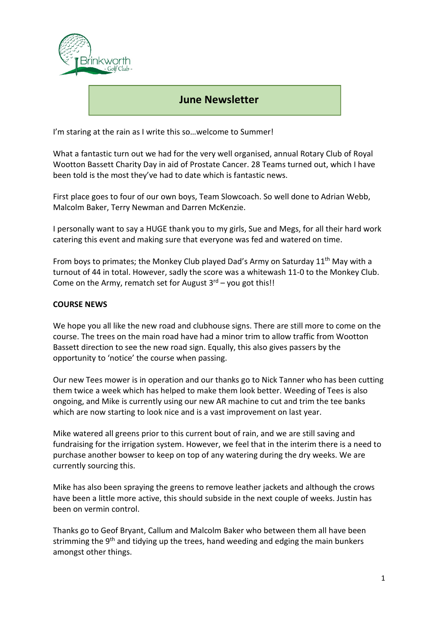

## June Newsletter

I'm staring at the rain as I write this so... welcome to Summer!

What a fantastic turn out we had for the very well organised, annual Rotary Club of Royal Wootton Bassett Charity Day in aid of Prostate Cancer. 28 Teams turned out, which I have been told is the most they've had to date which is fantastic news.

First place goes to four of our own boys, Team Slowcoach. So well done to Adrian Webb, Malcolm Baker, Terry Newman and Darren McKenzie.

I personally want to say a HUGE thank you to my girls, Sue and Megs, for all their hard work catering this event and making sure that everyone was fed and watered on time.

From boys to primates; the Monkey Club played Dad's Army on Saturday  $11<sup>th</sup>$  May with a turnout of 44 in total. However, sadly the score was a whitewash 11-0 to the Monkey Club. Come on the Army, rematch set for August  $3<sup>rd</sup>$  – you got this!!

## COURSE NEWS

We hope you all like the new road and clubhouse signs. There are still more to come on the course. The trees on the main road have had a minor trim to allow traffic from Wootton Bassett direction to see the new road sign. Equally, this also gives passers by the opportunity to 'notice' the course when passing.

Our new Tees mower is in operation and our thanks go to Nick Tanner who has been cutting them twice a week which has helped to make them look better. Weeding of Tees is also ongoing, and Mike is currently using our new AR machine to cut and trim the tee banks which are now starting to look nice and is a vast improvement on last year.

Mike watered all greens prior to this current bout of rain, and we are still saving and fundraising for the irrigation system. However, we feel that in the interim there is a need to purchase another bowser to keep on top of any watering during the dry weeks. We are currently sourcing this.

Mike has also been spraying the greens to remove leather jackets and although the crows have been a little more active, this should subside in the next couple of weeks. Justin has been on vermin control.

Thanks go to Geof Bryant, Callum and Malcolm Baker who between them all have been strimming the 9<sup>th</sup> and tidying up the trees, hand weeding and edging the main bunkers amongst other things.